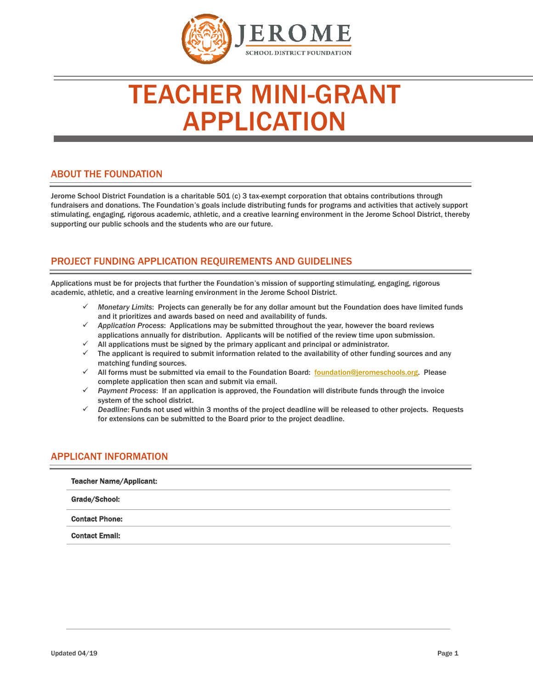

# TEACHER MINI-GRANT APPLICATION

## ABOUT THE FOUNDATION

Jerome School District Foundation is a charitable 501 (c) 3 tax-exempt corporation that obtains contributions through fundraisers and donations. The Foundation's goals include distributing funds for programs and activities that actively support stimulating, engaging, rigorous academic, athletic, and a creative learning environment in the Jerome School District, thereby supporting our public schools and the students who are our future.

# PROJECT FUNDING APPLICATION REQUIREMENTS AND GUIDELINES

Applications must be for projects that further the Foundation's mission of supporting stimulating, engaging, rigorous academic, athletic, and a creative learning environment in the Jerome School District.

- *Monetary Limits*: Projects can generally be for any dollar amount but the Foundation does have limited funds and it prioritizes and awards based on need and availability of funds.
- *Application Process*: Applications may be submitted throughout the year, however the board reviews applications annually for distribution. Applicants will be notified of the review time upon submission.
- All applications must be signed by the primary applicant and principal or administrator.
- The applicant is required to submit information related to the availability of other funding sources and any matching funding sources.
- All forms must be submitted via email to the Foundation Board: [foundation@jeromeschools.org.](mailto:foundation@jeromeschools.org) Please complete application then scan and submit via email.
- *Payment Process*: If an application is approved, the Foundation will distribute funds through the invoice system of the school district.
- *Deadline*: Funds not used within 3 months of the project deadline will be released to other projects. Requests for extensions can be submitted to the Board prior to the project deadline.

## APPLICANT INFORMATION

| <b>Teacher Name/Applicant:</b> |  |
|--------------------------------|--|
| Grade/School:                  |  |
| <b>Contact Phone:</b>          |  |
| <b>Contact Email:</b>          |  |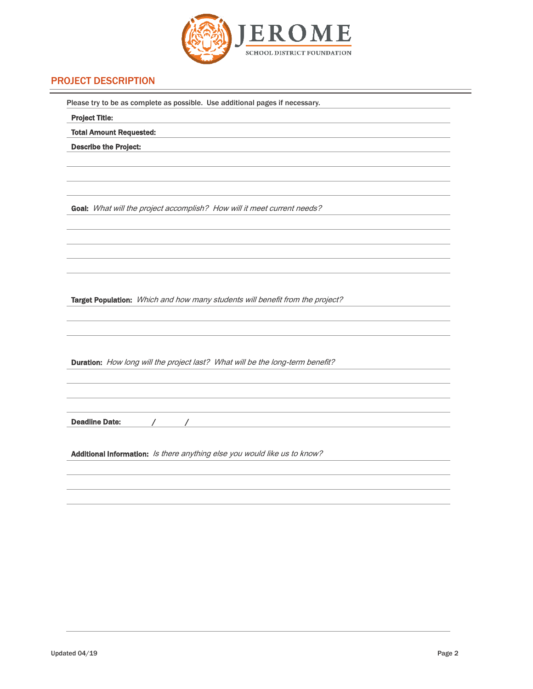

# PROJECT DESCRIPTION

| Please try to be as complete as possible. Use additional pages if necessary.  |  |  |  |
|-------------------------------------------------------------------------------|--|--|--|
| <b>Project Title:</b>                                                         |  |  |  |
| <b>Total Amount Requested:</b>                                                |  |  |  |
| <b>Describe the Project:</b>                                                  |  |  |  |
|                                                                               |  |  |  |
|                                                                               |  |  |  |
|                                                                               |  |  |  |
| Goal: What will the project accomplish? How will it meet current needs?       |  |  |  |
|                                                                               |  |  |  |
|                                                                               |  |  |  |
|                                                                               |  |  |  |
|                                                                               |  |  |  |
|                                                                               |  |  |  |
| Target Population: Which and how many students will benefit from the project? |  |  |  |
|                                                                               |  |  |  |
|                                                                               |  |  |  |
|                                                                               |  |  |  |
|                                                                               |  |  |  |
| Duration: How long will the project last? What will be the long-term benefit? |  |  |  |
|                                                                               |  |  |  |
|                                                                               |  |  |  |
|                                                                               |  |  |  |
| <b>Deadline Date:</b><br>$\sqrt{2}$                                           |  |  |  |
|                                                                               |  |  |  |
| Additional Information: Is there anything else you would like us to know?     |  |  |  |
|                                                                               |  |  |  |
|                                                                               |  |  |  |